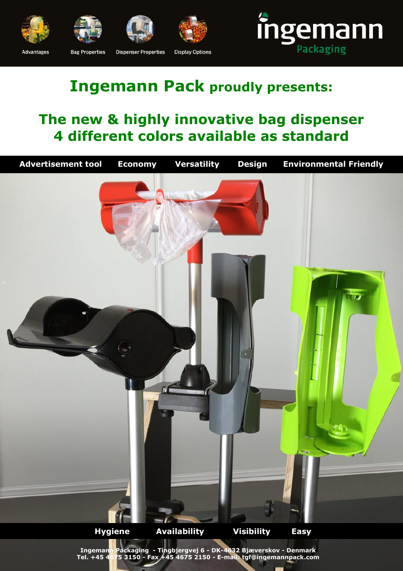









#### **Advantages**

**Bag Properties** 

**Dispenser Properties Display Options** 

# **Ingemann Pack proudly presents:**

## **The new & highly innovative bag dispenser 4 different colors available as standard**